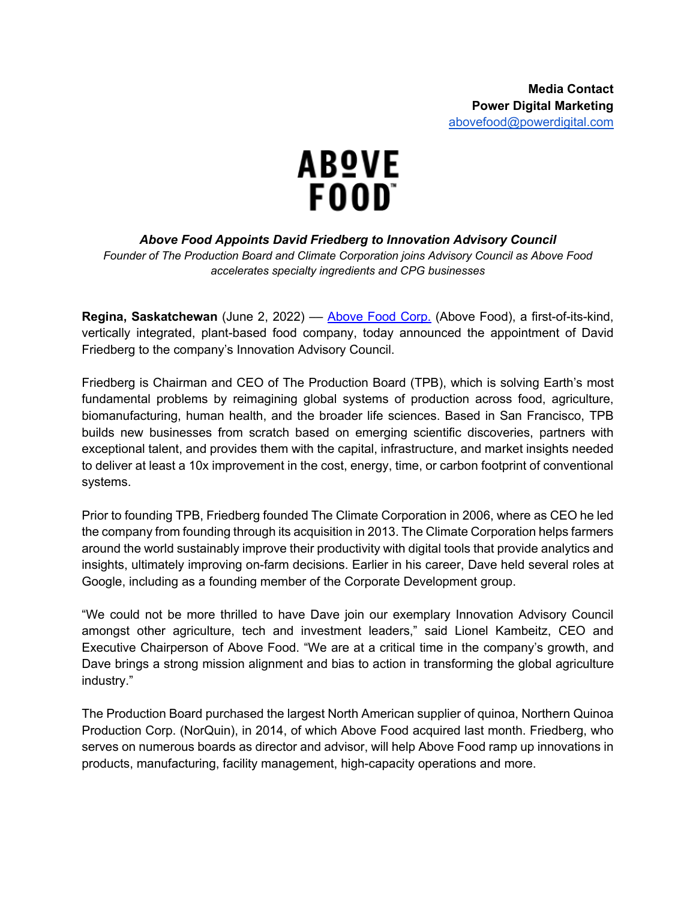

*Above Food Appoints David Friedberg to Innovation Advisory Council* 

*Founder of The Production Board and Climate Corporation joins Advisory Council as Above Food accelerates specialty ingredients and CPG businesses*

**Regina, Saskatchewan** (June 2, 2022) — Above Food Corp. (Above Food), a first-of-its-kind, vertically integrated, plant-based food company, today announced the appointment of David Friedberg to the company's Innovation Advisory Council.

Friedberg is Chairman and CEO of The Production Board (TPB), which is solving Earth's most fundamental problems by reimagining global systems of production across food, agriculture, biomanufacturing, human health, and the broader life sciences. Based in San Francisco, TPB builds new businesses from scratch based on emerging scientific discoveries, partners with exceptional talent, and provides them with the capital, infrastructure, and market insights needed to deliver at least a 10x improvement in the cost, energy, time, or carbon footprint of conventional systems.

Prior to founding TPB, Friedberg founded The Climate Corporation in 2006, where as CEO he led the company from founding through its acquisition in 2013. The Climate Corporation helps farmers around the world sustainably improve their productivity with digital tools that provide analytics and insights, ultimately improving on-farm decisions. Earlier in his career, Dave held several roles at Google, including as a founding member of the Corporate Development group.

"We could not be more thrilled to have Dave join our exemplary Innovation Advisory Council amongst other agriculture, tech and investment leaders," said Lionel Kambeitz, CEO and Executive Chairperson of Above Food. "We are at a critical time in the company's growth, and Dave brings a strong mission alignment and bias to action in transforming the global agriculture industry."

The Production Board purchased the largest North American supplier of quinoa, Northern Quinoa Production Corp. (NorQuin), in 2014, of which Above Food acquired last month. Friedberg, who serves on numerous boards as director and advisor, will help Above Food ramp up innovations in products, manufacturing, facility management, high-capacity operations and more.